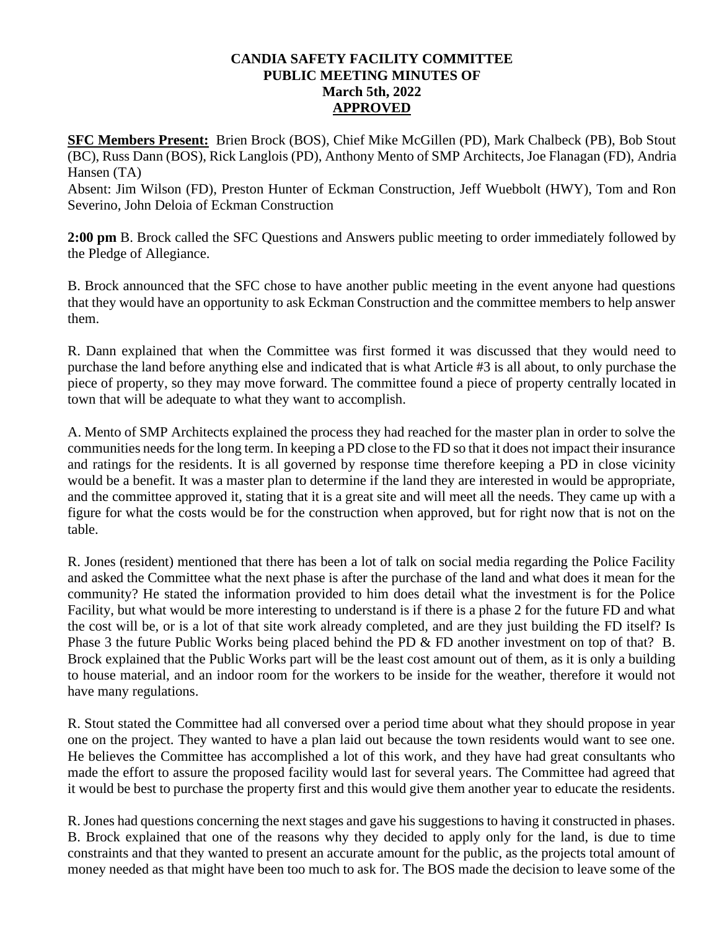## **CANDIA SAFETY FACILITY COMMITTEE PUBLIC MEETING MINUTES OF March 5th, 2022 APPROVED**

**SFC Members Present:** Brien Brock (BOS), Chief Mike McGillen (PD), Mark Chalbeck (PB), Bob Stout (BC), Russ Dann (BOS), Rick Langlois (PD), Anthony Mento of SMP Architects, Joe Flanagan (FD), Andria Hansen (TA)

Absent: Jim Wilson (FD), Preston Hunter of Eckman Construction, Jeff Wuebbolt (HWY), Tom and Ron Severino, John Deloia of Eckman Construction

**2:00 pm** B. Brock called the SFC Questions and Answers public meeting to order immediately followed by the Pledge of Allegiance.

B. Brock announced that the SFC chose to have another public meeting in the event anyone had questions that they would have an opportunity to ask Eckman Construction and the committee members to help answer them.

R. Dann explained that when the Committee was first formed it was discussed that they would need to purchase the land before anything else and indicated that is what Article #3 is all about, to only purchase the piece of property, so they may move forward. The committee found a piece of property centrally located in town that will be adequate to what they want to accomplish.

A. Mento of SMP Architects explained the process they had reached for the master plan in order to solve the communities needs for the long term. In keeping a PD close to the FD so that it does not impact their insurance and ratings for the residents. It is all governed by response time therefore keeping a PD in close vicinity would be a benefit. It was a master plan to determine if the land they are interested in would be appropriate, and the committee approved it, stating that it is a great site and will meet all the needs. They came up with a figure for what the costs would be for the construction when approved, but for right now that is not on the table.

R. Jones (resident) mentioned that there has been a lot of talk on social media regarding the Police Facility and asked the Committee what the next phase is after the purchase of the land and what does it mean for the community? He stated the information provided to him does detail what the investment is for the Police Facility, but what would be more interesting to understand is if there is a phase 2 for the future FD and what the cost will be, or is a lot of that site work already completed, and are they just building the FD itself? Is Phase 3 the future Public Works being placed behind the PD & FD another investment on top of that? B. Brock explained that the Public Works part will be the least cost amount out of them, as it is only a building to house material, and an indoor room for the workers to be inside for the weather, therefore it would not have many regulations.

R. Stout stated the Committee had all conversed over a period time about what they should propose in year one on the project. They wanted to have a plan laid out because the town residents would want to see one. He believes the Committee has accomplished a lot of this work, and they have had great consultants who made the effort to assure the proposed facility would last for several years. The Committee had agreed that it would be best to purchase the property first and this would give them another year to educate the residents.

R. Jones had questions concerning the next stages and gave his suggestions to having it constructed in phases. B. Brock explained that one of the reasons why they decided to apply only for the land, is due to time constraints and that they wanted to present an accurate amount for the public, as the projects total amount of money needed as that might have been too much to ask for. The BOS made the decision to leave some of the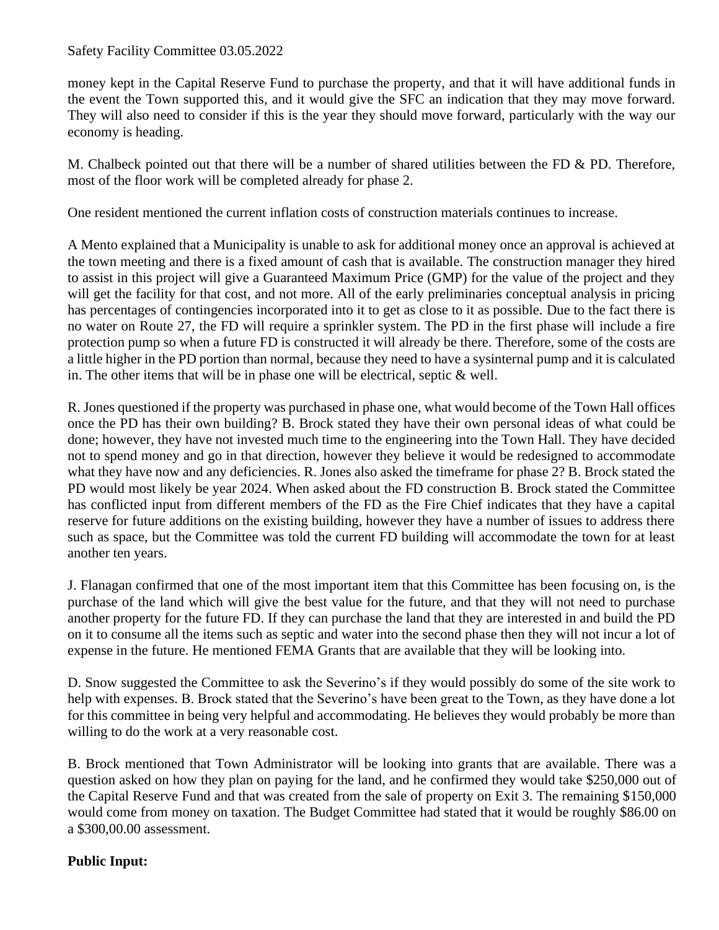## Safety Facility Committee 03.05.2022

money kept in the Capital Reserve Fund to purchase the property, and that it will have additional funds in the event the Town supported this, and it would give the SFC an indication that they may move forward. They will also need to consider if this is the year they should move forward, particularly with the way our economy is heading.

M. Chalbeck pointed out that there will be a number of shared utilities between the FD & PD. Therefore, most of the floor work will be completed already for phase 2.

One resident mentioned the current inflation costs of construction materials continues to increase.

A Mento explained that a Municipality is unable to ask for additional money once an approval is achieved at the town meeting and there is a fixed amount of cash that is available. The construction manager they hired to assist in this project will give a Guaranteed Maximum Price (GMP) for the value of the project and they will get the facility for that cost, and not more. All of the early preliminaries conceptual analysis in pricing has percentages of contingencies incorporated into it to get as close to it as possible. Due to the fact there is no water on Route 27, the FD will require a sprinkler system. The PD in the first phase will include a fire protection pump so when a future FD is constructed it will already be there. Therefore, some of the costs are a little higher in the PD portion than normal, because they need to have a sysinternal pump and it is calculated in. The other items that will be in phase one will be electrical, septic & well.

R. Jones questioned if the property was purchased in phase one, what would become of the Town Hall offices once the PD has their own building? B. Brock stated they have their own personal ideas of what could be done; however, they have not invested much time to the engineering into the Town Hall. They have decided not to spend money and go in that direction, however they believe it would be redesigned to accommodate what they have now and any deficiencies. R. Jones also asked the timeframe for phase 2? B. Brock stated the PD would most likely be year 2024. When asked about the FD construction B. Brock stated the Committee has conflicted input from different members of the FD as the Fire Chief indicates that they have a capital reserve for future additions on the existing building, however they have a number of issues to address there such as space, but the Committee was told the current FD building will accommodate the town for at least another ten years.

J. Flanagan confirmed that one of the most important item that this Committee has been focusing on, is the purchase of the land which will give the best value for the future, and that they will not need to purchase another property for the future FD. If they can purchase the land that they are interested in and build the PD on it to consume all the items such as septic and water into the second phase then they will not incur a lot of expense in the future. He mentioned FEMA Grants that are available that they will be looking into.

D. Snow suggested the Committee to ask the Severino's if they would possibly do some of the site work to help with expenses. B. Brock stated that the Severino's have been great to the Town, as they have done a lot for this committee in being very helpful and accommodating. He believes they would probably be more than willing to do the work at a very reasonable cost.

B. Brock mentioned that Town Administrator will be looking into grants that are available. There was a question asked on how they plan on paying for the land, and he confirmed they would take \$250,000 out of the Capital Reserve Fund and that was created from the sale of property on Exit 3. The remaining \$150,000 would come from money on taxation. The Budget Committee had stated that it would be roughly \$86.00 on a \$300,00.00 assessment.

## **Public Input:**